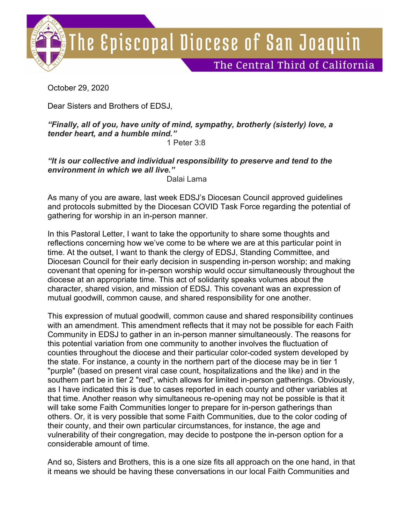

October 29, 2020

Dear Sisters and Brothers of EDSJ,

## *"Finally, all of you, have unity of mind, sympathy, brotherly (sisterly) love, a tender heart, and a humble mind."*

1 Peter 3:8

*"It is our collective and individual responsibility to preserve and tend to the environment in which we all live."*

Dalai Lama

As many of you are aware, last week EDSJ's Diocesan Council approved guidelines and protocols submitted by the Diocesan COVID Task Force regarding the potential of gathering for worship in an in-person manner.

In this Pastoral Letter, I want to take the opportunity to share some thoughts and reflections concerning how we've come to be where we are at this particular point in time. At the outset, I want to thank the clergy of EDSJ, Standing Committee, and Diocesan Council for their early decision in suspending in-person worship; and making covenant that opening for in-person worship would occur simultaneously throughout the diocese at an appropriate time. This act of solidarity speaks volumes about the character, shared vision, and mission of EDSJ. This covenant was an expression of mutual goodwill, common cause, and shared responsibility for one another.

This expression of mutual goodwill, common cause and shared responsibility continues with an amendment. This amendment reflects that it may not be possible for each Faith Community in EDSJ to gather in an in-person manner simultaneously. The reasons for this potential variation from one community to another involves the fluctuation of counties throughout the diocese and their particular color-coded system developed by the state. For instance, a county in the northern part of the diocese may be in tier 1 "purple" (based on present viral case count, hospitalizations and the like) and in the southern part be in tier 2 "red", which allows for limited in-person gatherings. Obviously, as I have indicated this is due to cases reported in each county and other variables at that time. Another reason why simultaneous re-opening may not be possible is that it will take some Faith Communities longer to prepare for in-person gatherings than others. Or, it is very possible that some Faith Communities, due to the color coding of their county, and their own particular circumstances, for instance, the age and vulnerability of their congregation, may decide to postpone the in-person option for a considerable amount of time.

And so, Sisters and Brothers, this is a one size fits all approach on the one hand, in that it means we should be having these conversations in our local Faith Communities and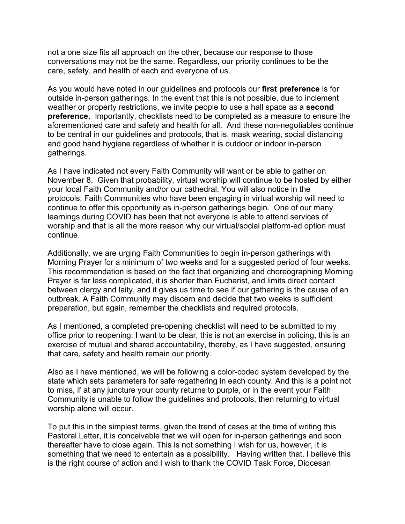not a one size fits all approach on the other, because our response to those conversations may not be the same. Regardless, our priority continues to be the care, safety, and health of each and everyone of us.

As you would have noted in our guidelines and protocols our **first preference** is for outside in-person gatherings. In the event that this is not possible, due to inclement weather or property restrictions, we invite people to use a hall space as a **second preference.** Importantly, checklists need to be completed as a measure to ensure the aforementioned care and safety and health for all. And these non-negotiables continue to be central in our guidelines and protocols, that is, mask wearing, social distancing and good hand hygiene regardless of whether it is outdoor or indoor in-person gatherings.

As I have indicated not every Faith Community will want or be able to gather on November 8. Given that probability, virtual worship will continue to be hosted by either your local Faith Community and/or our cathedral. You will also notice in the protocols, Faith Communities who have been engaging in virtual worship will need to continue to offer this opportunity as in-person gatherings begin. One of our many learnings during COVID has been that not everyone is able to attend services of worship and that is all the more reason why our virtual/social platform-ed option must continue.

Additionally, we are urging Faith Communities to begin in-person gatherings with Morning Prayer for a minimum of two weeks and for a suggested period of four weeks. This recommendation is based on the fact that organizing and choreographing Morning Prayer is far less complicated, it is shorter than Eucharist, and limits direct contact between clergy and laity, and it gives us time to see if our gathering is the cause of an outbreak. A Faith Community may discern and decide that two weeks is sufficient preparation, but again, remember the checklists and required protocols.

As I mentioned, a completed pre-opening checklist will need to be submitted to my office prior to reopening. I want to be clear, this is not an exercise in policing, this is an exercise of mutual and shared accountability, thereby, as I have suggested, ensuring that care, safety and health remain our priority.

Also as I have mentioned, we will be following a color-coded system developed by the state which sets parameters for safe regathering in each county. And this is a point not to miss, if at any juncture your county returns to purple, or in the event your Faith Community is unable to follow the guidelines and protocols, then returning to virtual worship alone will occur.

To put this in the simplest terms, given the trend of cases at the time of writing this Pastoral Letter, it is conceivable that we will open for in-person gatherings and soon thereafter have to close again. This is not something I wish for us, however, it is something that we need to entertain as a possibility. Having written that, I believe this is the right course of action and I wish to thank the COVID Task Force, Diocesan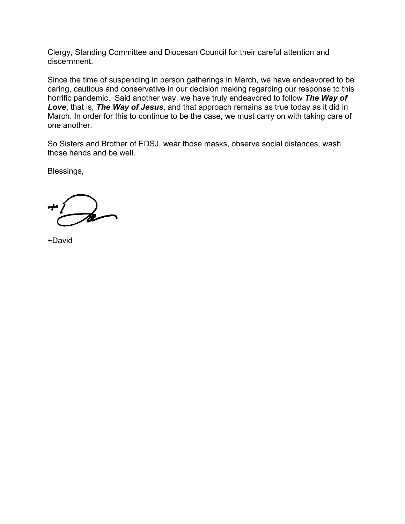Clergy, Standing Committee and Diocesan Council for their careful attention and discernment.

Since the time of suspending in person gatherings in March, we have endeavored to be caring, cautious and conservative in our decision making regarding our response to this horrific pandemic. Said another way, we have truly endeavored to follow *The Way of Love*, that is, *The Way of Jesus*, and that approach remains as true today as it did in March. In order for this to continue to be the case, we must carry on with taking care of one another.

So Sisters and Brother of EDSJ, wear those masks, observe social distances, wash those hands and be well.

Blessings,

+David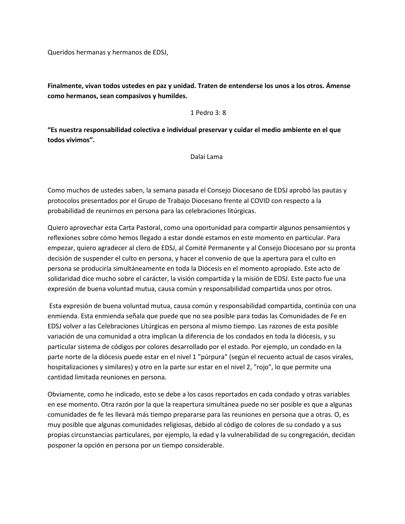Queridos hermanas y hermanos de EDSJ,

**Finalmente, vivan todos ustedes en paz y unidad. Traten de entenderse los unos a los otros. Ámense como hermanos, sean compasivos y humildes.**

## 1 Pedro 3: 8

**"Es nuestra responsabilidad colectiva e individual preservar y cuidar el medio ambiente en el que todos vivimos".**

Dalai Lama

Como muchos de ustedes saben, la semana pasada el Consejo Diocesano de EDSJ aprobó las pautas y protocolos presentados por el Grupo de Trabajo Diocesano frente al COVID con respecto a la probabilidad de reunirnos en persona para las celebraciones litúrgicas.

Quiero aprovechar esta Carta Pastoral, como una oportunidad para compartir algunos pensamientos y reflexiones sobre cómo hemos llegado a estar donde estamos en este momento en particular. Para empezar, quiero agradecer al clero de EDSJ, al Comité Permanente y al Consejo Diocesano por su pronta decisión de suspender el culto en persona, y hacer el convenio de que la apertura para el culto en persona se produciría simultáneamente en toda la Diócesis en el momento apropiado. Este acto de solidaridad dice mucho sobre el carácter, la visión compartida y la misión de EDSJ. Este pacto fue una expresión de buena voluntad mutua, causa común y responsabilidad compartida unos por otros.

Esta expresión de buena voluntad mutua, causa común y responsabilidad compartida, continúa con una enmienda. Esta enmienda señala que puede que no sea posible para todas las Comunidades de Fe en EDSJ volver a las Celebraciones Litúrgicas en persona al mismo tiempo. Las razones de esta posible variación de una comunidad a otra implican la diferencia de los condados en toda la diócesis, y su particular sistema de códigos por colores desarrollado por el estado. Por ejemplo, un condado en la parte norte de la diócesis puede estar en el nivel 1 "púrpura" (según el recuento actual de casos virales, hospitalizaciones y similares) y otro en la parte sur estar en el nivel 2, "rojo", lo que permite una cantidad limitada reuniones en persona.

Obviamente, como he indicado, esto se debe a los casos reportados en cada condado y otras variables en ese momento. Otra razón por la que la reapertura simultánea puede no ser posible es que a algunas comunidades de fe les llevará más tiempo prepararse para las reuniones en persona que a otras. O, es muy posible que algunas comunidades religiosas, debido al código de colores de su condado y a sus propias circunstancias particulares, por ejemplo, la edad y la vulnerabilidad de su congregación, decidan posponer la opción en persona por un tiempo considerable.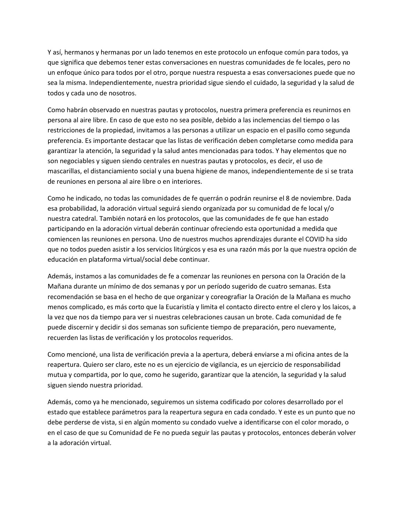Y así, hermanos y hermanas por un lado tenemos en este protocolo un enfoque común para todos, ya que significa que debemos tener estas conversaciones en nuestras comunidades de fe locales, pero no un enfoque único para todos por el otro, porque nuestra respuesta a esas conversaciones puede que no sea la misma. Independientemente, nuestra prioridad sigue siendo el cuidado, la seguridad y la salud de todos y cada uno de nosotros.

Como habrán observado en nuestras pautas y protocolos, nuestra primera preferencia es reunirnos en persona al aire libre. En caso de que esto no sea posible, debido a las inclemencias del tiempo o las restricciones de la propiedad, invitamos a las personas a utilizar un espacio en el pasillo como segunda preferencia. Es importante destacar que las listas de verificación deben completarse como medida para garantizar la atención, la seguridad y la salud antes mencionadas para todos. Y hay elementos que no son negociables y siguen siendo centrales en nuestras pautas y protocolos, es decir, el uso de mascarillas, el distanciamiento social y una buena higiene de manos, independientemente de si se trata de reuniones en persona al aire libre o en interiores.

Como he indicado, no todas las comunidades de fe querrán o podrán reunirse el 8 de noviembre. Dada esa probabilidad, la adoración virtual seguirá siendo organizada por su comunidad de fe local y/o nuestra catedral. También notará en los protocolos, que las comunidades de fe que han estado participando en la adoración virtual deberán continuar ofreciendo esta oportunidad a medida que comiencen las reuniones en persona. Uno de nuestros muchos aprendizajes durante el COVID ha sido que no todos pueden asistir a los servicios litúrgicos y esa es una razón más por la que nuestra opción de educación en plataforma virtual/social debe continuar.

Además, instamos a las comunidades de fe a comenzar las reuniones en persona con la Oración de la Mañana durante un mínimo de dos semanas y por un período sugerido de cuatro semanas. Esta recomendación se basa en el hecho de que organizar y coreografiar la Oración de la Mañana es mucho menos complicado, es más corto que la Eucaristía y limita el contacto directo entre el clero y los laicos, a la vez que nos da tiempo para ver si nuestras celebraciones causan un brote. Cada comunidad de fe puede discernir y decidir si dos semanas son suficiente tiempo de preparación, pero nuevamente, recuerden las listas de verificación y los protocolos requeridos.

Como mencioné, una lista de verificación previa a la apertura, deberá enviarse a mi oficina antes de la reapertura. Quiero ser claro, este no es un ejercicio de vigilancia, es un ejercicio de responsabilidad mutua y compartida, por lo que, como he sugerido, garantizar que la atención, la seguridad y la salud siguen siendo nuestra prioridad.

Además, como ya he mencionado, seguiremos un sistema codificado por colores desarrollado por el estado que establece parámetros para la reapertura segura en cada condado. Y este es un punto que no debe perderse de vista, si en algún momento su condado vuelve a identificarse con el color morado, o en el caso de que su Comunidad de Fe no pueda seguir las pautas y protocolos, entonces deberán volver a la adoración virtual.